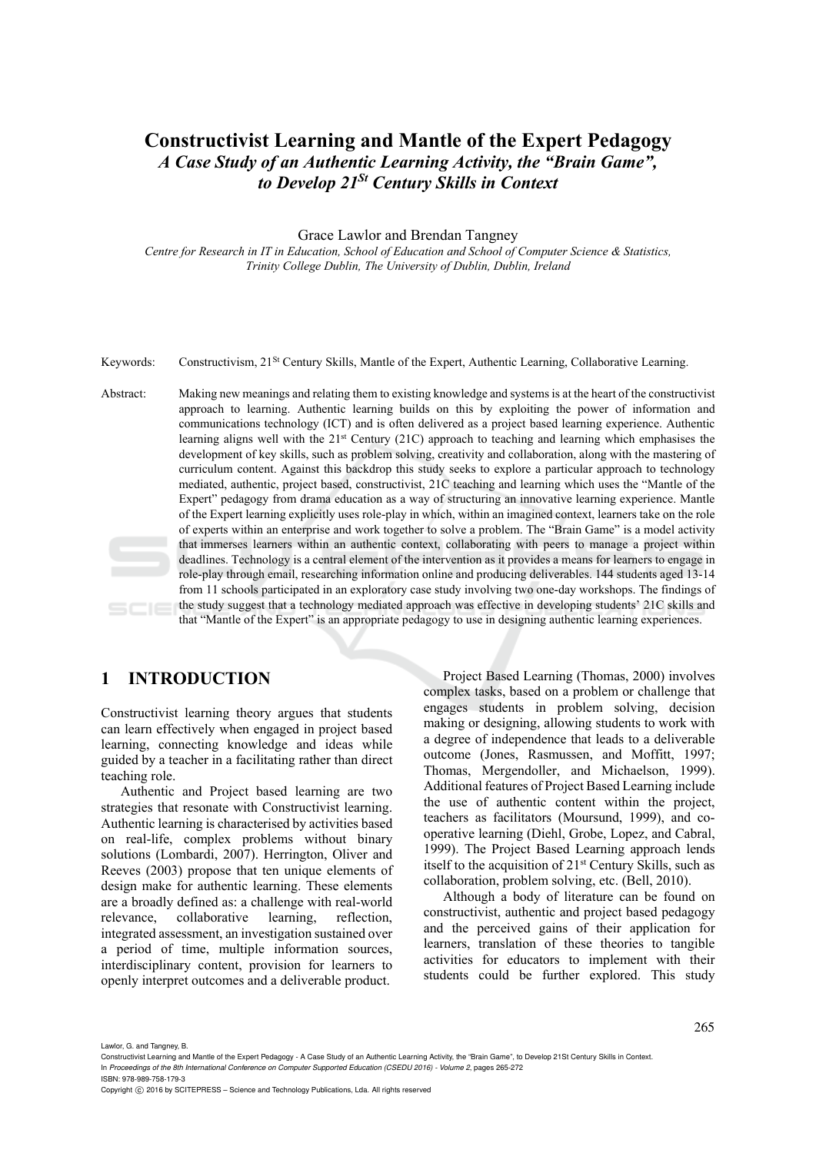# **Constructivist Learning and Mantle of the Expert Pedagogy**  *A Case Study of an Authentic Learning Activity, the "Brain Game", to Develop 21St Century Skills in Context*

#### Grace Lawlor and Brendan Tangney

*Centre for Research in IT in Education, School of Education and School of Computer Science & Statistics, Trinity College Dublin, The University of Dublin, Dublin, Ireland* 

Keywords: Constructivism, 21St Century Skills, Mantle of the Expert, Authentic Learning, Collaborative Learning.

Abstract: Making new meanings and relating them to existing knowledge and systems is at the heart of the constructivist approach to learning. Authentic learning builds on this by exploiting the power of information and communications technology (ICT) and is often delivered as a project based learning experience. Authentic learning aligns well with the 21st Century (21C) approach to teaching and learning which emphasises the development of key skills, such as problem solving, creativity and collaboration, along with the mastering of curriculum content. Against this backdrop this study seeks to explore a particular approach to technology mediated, authentic, project based, constructivist, 21C teaching and learning which uses the "Mantle of the Expert" pedagogy from drama education as a way of structuring an innovative learning experience. Mantle of the Expert learning explicitly uses role-play in which, within an imagined context, learners take on the role of experts within an enterprise and work together to solve a problem. The "Brain Game" is a model activity that immerses learners within an authentic context, collaborating with peers to manage a project within deadlines. Technology is a central element of the intervention as it provides a means for learners to engage in role-play through email, researching information online and producing deliverables. 144 students aged 13-14 from 11 schools participated in an exploratory case study involving two one-day workshops. The findings of the study suggest that a technology mediated approach was effective in developing students' 21C skills and  $SCIE$ that "Mantle of the Expert" is an appropriate pedagogy to use in designing authentic learning experiences.

## **1 INTRODUCTION**

Constructivist learning theory argues that students can learn effectively when engaged in project based learning, connecting knowledge and ideas while guided by a teacher in a facilitating rather than direct teaching role.

Authentic and Project based learning are two strategies that resonate with Constructivist learning. Authentic learning is characterised by activities based on real-life, complex problems without binary solutions (Lombardi, 2007). Herrington, Oliver and Reeves (2003) propose that ten unique elements of design make for authentic learning. These elements are a broadly defined as: a challenge with real-world relevance, collaborative learning, reflection, integrated assessment, an investigation sustained over a period of time, multiple information sources, interdisciplinary content, provision for learners to openly interpret outcomes and a deliverable product.

Project Based Learning (Thomas, 2000) involves complex tasks, based on a problem or challenge that engages students in problem solving, decision making or designing, allowing students to work with a degree of independence that leads to a deliverable outcome (Jones, Rasmussen, and Moffitt, 1997; Thomas, Mergendoller, and Michaelson, 1999). Additional features of Project Based Learning include the use of authentic content within the project, teachers as facilitators (Moursund, 1999), and cooperative learning (Diehl, Grobe, Lopez, and Cabral, 1999). The Project Based Learning approach lends itself to the acquisition of 21st Century Skills, such as collaboration, problem solving, etc. (Bell, 2010).

Although a body of literature can be found on constructivist, authentic and project based pedagogy and the perceived gains of their application for learners, translation of these theories to tangible activities for educators to implement with their students could be further explored. This study

Lawlor, G. and Tangney, B.

ISBN: 978-989-758-179-3

Constructivist Learning and Mantle of the Expert Pedagogy - A Case Study of an Authentic Learning Activity, the "Brain Game", to Develop 21St Century Skills in Context. In *Proceedings of the 8th International Conference on Computer Supported Education (CSEDU 2016) - Volume 2*, pages 265-272

Copyright C 2016 by SCITEPRESS - Science and Technology Publications, Lda. All rights reserved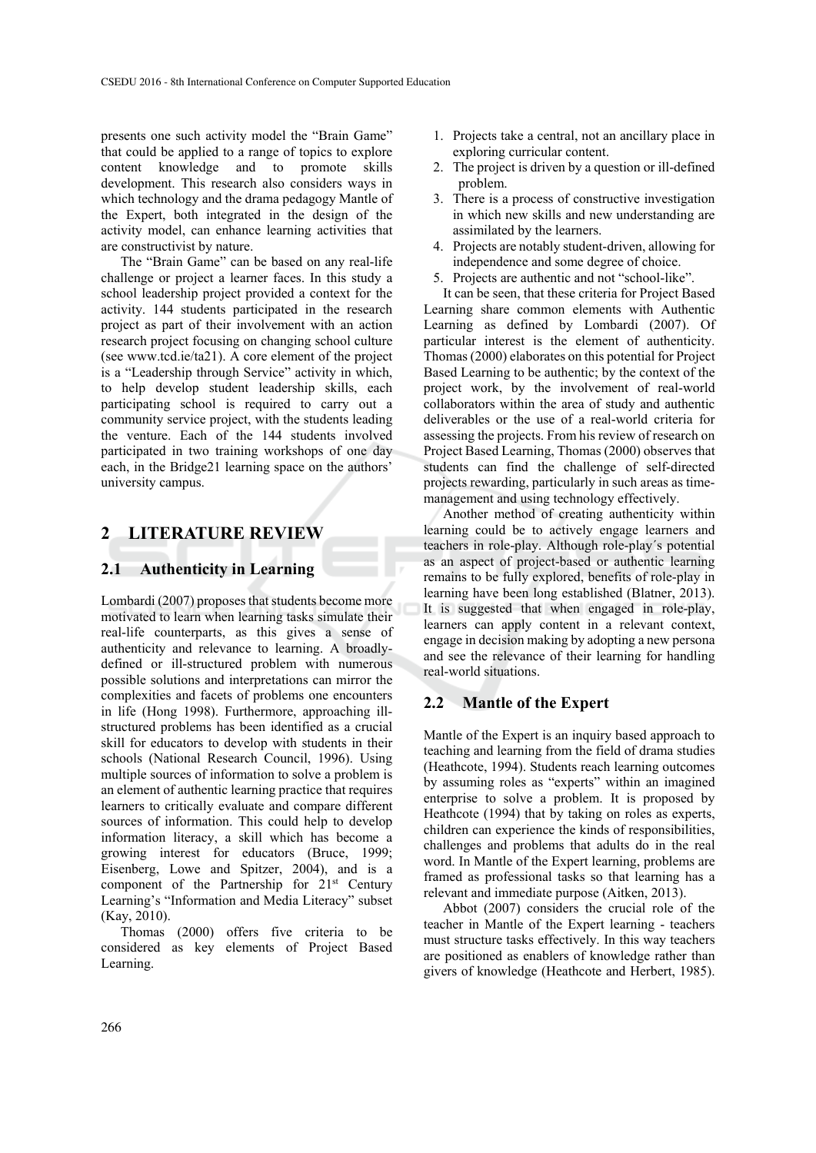presents one such activity model the "Brain Game" that could be applied to a range of topics to explore content knowledge and to promote skills development. This research also considers ways in which technology and the drama pedagogy Mantle of the Expert, both integrated in the design of the activity model, can enhance learning activities that are constructivist by nature.

The "Brain Game" can be based on any real-life challenge or project a learner faces. In this study a school leadership project provided a context for the activity. 144 students participated in the research project as part of their involvement with an action research project focusing on changing school culture (see www.tcd.ie/ta21). A core element of the project is a "Leadership through Service" activity in which, to help develop student leadership skills, each participating school is required to carry out a community service project, with the students leading the venture. Each of the 144 students involved participated in two training workshops of one day each, in the Bridge21 learning space on the authors' university campus.

### **2 LITERATURE REVIEW**

#### **2.1 Authenticity in Learning**

Lombardi (2007) proposes that students become more motivated to learn when learning tasks simulate their real-life counterparts, as this gives a sense of authenticity and relevance to learning. A broadlydefined or ill-structured problem with numerous possible solutions and interpretations can mirror the complexities and facets of problems one encounters in life (Hong 1998). Furthermore, approaching illstructured problems has been identified as a crucial skill for educators to develop with students in their schools (National Research Council, 1996). Using multiple sources of information to solve a problem is an element of authentic learning practice that requires learners to critically evaluate and compare different sources of information. This could help to develop information literacy, a skill which has become a growing interest for educators (Bruce, 1999; Eisenberg, Lowe and Spitzer, 2004), and is a component of the Partnership for 21<sup>st</sup> Century Learning's "Information and Media Literacy" subset (Kay, 2010).

Thomas (2000) offers five criteria to be considered as key elements of Project Based Learning.

- 1. Projects take a central, not an ancillary place in exploring curricular content.
- 2. The project is driven by a question or ill-defined problem.
- 3. There is a process of constructive investigation in which new skills and new understanding are assimilated by the learners.
- 4. Projects are notably student-driven, allowing for independence and some degree of choice.
- 5. Projects are authentic and not "school-like".

It can be seen, that these criteria for Project Based Learning share common elements with Authentic Learning as defined by Lombardi (2007). Of particular interest is the element of authenticity. Thomas (2000) elaborates on this potential for Project Based Learning to be authentic; by the context of the project work, by the involvement of real-world collaborators within the area of study and authentic deliverables or the use of a real-world criteria for assessing the projects. From his review of research on Project Based Learning, Thomas (2000) observes that students can find the challenge of self-directed projects rewarding, particularly in such areas as timemanagement and using technology effectively.

Another method of creating authenticity within learning could be to actively engage learners and teachers in role-play. Although role-play´s potential as an aspect of project-based or authentic learning remains to be fully explored, benefits of role-play in learning have been long established (Blatner, 2013). It is suggested that when engaged in role-play, learners can apply content in a relevant context, engage in decision making by adopting a new persona and see the relevance of their learning for handling real-world situations.

#### **2.2 Mantle of the Expert**

Mantle of the Expert is an inquiry based approach to teaching and learning from the field of drama studies (Heathcote, 1994). Students reach learning outcomes by assuming roles as "experts" within an imagined enterprise to solve a problem. It is proposed by Heathcote (1994) that by taking on roles as experts, children can experience the kinds of responsibilities, challenges and problems that adults do in the real word. In Mantle of the Expert learning, problems are framed as professional tasks so that learning has a relevant and immediate purpose (Aitken, 2013).

Abbot (2007) considers the crucial role of the teacher in Mantle of the Expert learning - teachers must structure tasks effectively. In this way teachers are positioned as enablers of knowledge rather than givers of knowledge (Heathcote and Herbert, 1985).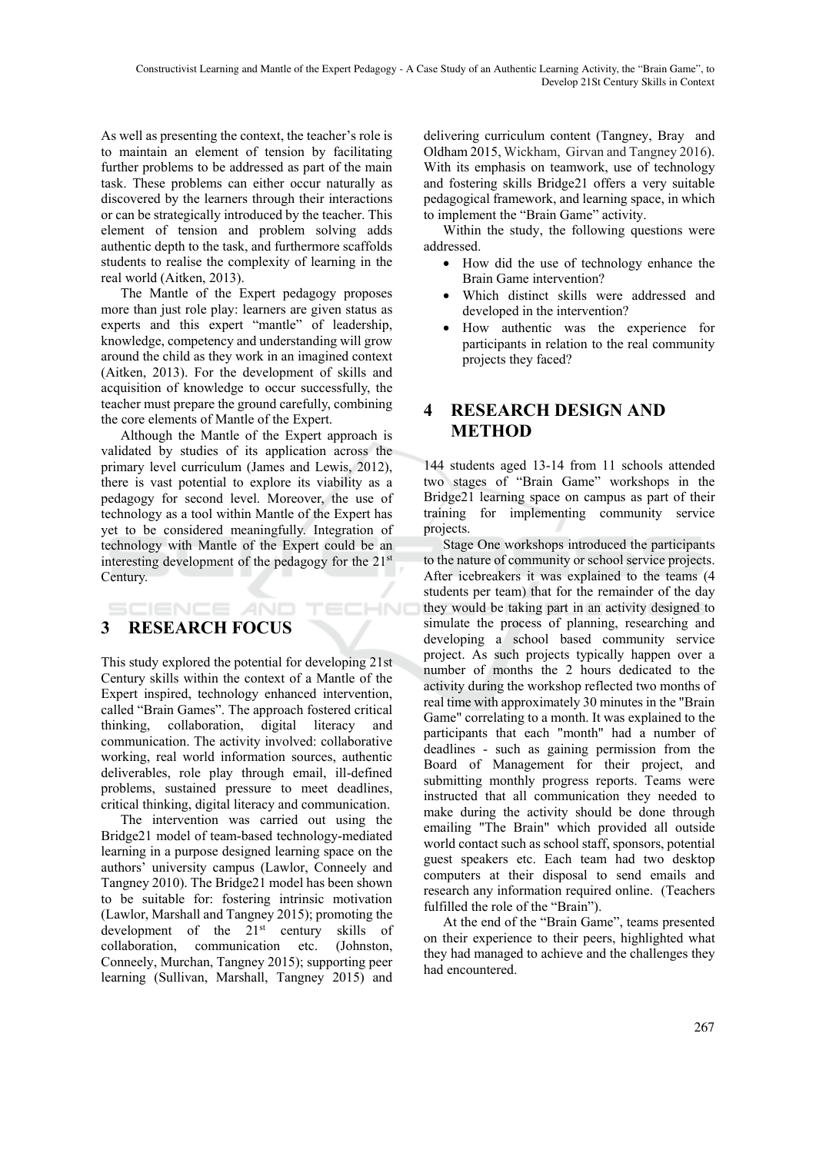As well as presenting the context, the teacher's role is to maintain an element of tension by facilitating further problems to be addressed as part of the main task. These problems can either occur naturally as discovered by the learners through their interactions or can be strategically introduced by the teacher. This element of tension and problem solving adds authentic depth to the task, and furthermore scaffolds students to realise the complexity of learning in the real world (Aitken, 2013).

The Mantle of the Expert pedagogy proposes more than just role play: learners are given status as experts and this expert "mantle" of leadership, knowledge, competency and understanding will grow around the child as they work in an imagined context (Aitken, 2013). For the development of skills and acquisition of knowledge to occur successfully, the teacher must prepare the ground carefully, combining the core elements of Mantle of the Expert.

Although the Mantle of the Expert approach is validated by studies of its application across the primary level curriculum (James and Lewis, 2012), there is vast potential to explore its viability as a pedagogy for second level. Moreover, the use of technology as a tool within Mantle of the Expert has yet to be considered meaningfully. Integration of technology with Mantle of the Expert could be an interesting development of the pedagogy for the 21st Century.

TECHNO

## **SCIENCE AND 3 RESEARCH FOCUS**

This study explored the potential for developing 21st Century skills within the context of a Mantle of the Expert inspired, technology enhanced intervention, called "Brain Games". The approach fostered critical thinking, collaboration, digital literacy and communication. The activity involved: collaborative working, real world information sources, authentic deliverables, role play through email, ill-defined problems, sustained pressure to meet deadlines, critical thinking, digital literacy and communication.

The intervention was carried out using the Bridge21 model of team-based technology-mediated learning in a purpose designed learning space on the authors' university campus (Lawlor, Conneely and Tangney 2010). The Bridge21 model has been shown to be suitable for: fostering intrinsic motivation (Lawlor, Marshall and Tangney 2015); promoting the development of the 21<sup>st</sup> century skills of collaboration, communication etc. (Johnston, Conneely, Murchan, Tangney 2015); supporting peer learning (Sullivan, Marshall, Tangney 2015) and

delivering curriculum content (Tangney, Bray and Oldham 2015, Wickham, Girvan and Tangney 2016). With its emphasis on teamwork, use of technology and fostering skills Bridge21 offers a very suitable pedagogical framework, and learning space, in which to implement the "Brain Game" activity.

Within the study, the following questions were addressed.

- How did the use of technology enhance the Brain Game intervention?
- Which distinct skills were addressed and developed in the intervention?
- How authentic was the experience for participants in relation to the real community projects they faced?

## **4 RESEARCH DESIGN AND METHOD**

144 students aged 13-14 from 11 schools attended two stages of "Brain Game" workshops in the Bridge21 learning space on campus as part of their training for implementing community service projects.

Stage One workshops introduced the participants to the nature of community or school service projects. After icebreakers it was explained to the teams (4 students per team) that for the remainder of the day they would be taking part in an activity designed to simulate the process of planning, researching and developing a school based community service project. As such projects typically happen over a number of months the 2 hours dedicated to the activity during the workshop reflected two months of real time with approximately 30 minutes in the "Brain Game" correlating to a month. It was explained to the participants that each "month" had a number of deadlines - such as gaining permission from the Board of Management for their project, and submitting monthly progress reports. Teams were instructed that all communication they needed to make during the activity should be done through emailing "The Brain" which provided all outside world contact such as school staff, sponsors, potential guest speakers etc. Each team had two desktop computers at their disposal to send emails and research any information required online. (Teachers fulfilled the role of the "Brain").

At the end of the "Brain Game", teams presented on their experience to their peers, highlighted what they had managed to achieve and the challenges they had encountered.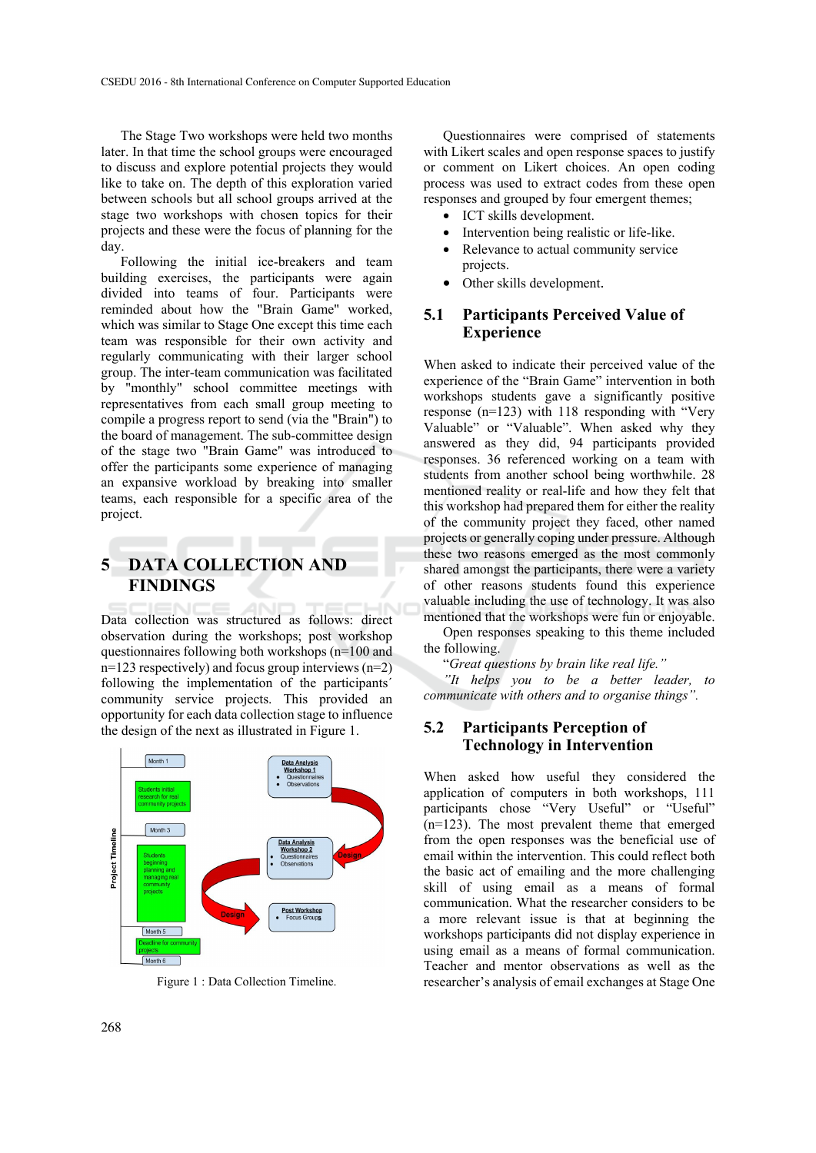The Stage Two workshops were held two months later. In that time the school groups were encouraged to discuss and explore potential projects they would like to take on. The depth of this exploration varied between schools but all school groups arrived at the stage two workshops with chosen topics for their projects and these were the focus of planning for the day.

Following the initial ice-breakers and team building exercises, the participants were again divided into teams of four. Participants were reminded about how the "Brain Game" worked, which was similar to Stage One except this time each team was responsible for their own activity and regularly communicating with their larger school group. The inter-team communication was facilitated by "monthly" school committee meetings with representatives from each small group meeting to compile a progress report to send (via the "Brain") to the board of management. The sub-committee design of the stage two "Brain Game" was introduced to offer the participants some experience of managing an expansive workload by breaking into smaller teams, each responsible for a specific area of the project.

## **5 DATA COLLECTION AND FINDINGS**

Data collection was structured as follows: direct observation during the workshops; post workshop questionnaires following both workshops (n=100 and  $n=123$  respectively) and focus group interviews  $(n=2)$ following the implementation of the participants´ community service projects. This provided an opportunity for each data collection stage to influence the design of the next as illustrated in Figure 1.



Figure 1 : Data Collection Timeline.

Questionnaires were comprised of statements with Likert scales and open response spaces to justify or comment on Likert choices. An open coding process was used to extract codes from these open responses and grouped by four emergent themes;

- ICT skills development.
- Intervention being realistic or life-like.
- Relevance to actual community service projects.
- Other skills development.

#### **5.1 Participants Perceived Value of Experience**

When asked to indicate their perceived value of the experience of the "Brain Game" intervention in both workshops students gave a significantly positive response (n=123) with 118 responding with "Very Valuable" or "Valuable". When asked why they answered as they did, 94 participants provided responses. 36 referenced working on a team with students from another school being worthwhile. 28 mentioned reality or real-life and how they felt that this workshop had prepared them for either the reality of the community project they faced, other named projects or generally coping under pressure. Although these two reasons emerged as the most commonly shared amongst the participants, there were a variety of other reasons students found this experience valuable including the use of technology. It was also mentioned that the workshops were fun or enjoyable.

Open responses speaking to this theme included the following.

"*Great questions by brain like real life."* 

*"It helps you to be a better leader, to communicate with others and to organise things".* 

#### **5.2 Participants Perception of Technology in Intervention**

When asked how useful they considered the application of computers in both workshops, 111 participants chose "Very Useful" or "Useful" (n=123). The most prevalent theme that emerged from the open responses was the beneficial use of email within the intervention. This could reflect both the basic act of emailing and the more challenging skill of using email as a means of formal communication. What the researcher considers to be a more relevant issue is that at beginning the workshops participants did not display experience in using email as a means of formal communication. Teacher and mentor observations as well as the researcher's analysis of email exchanges at Stage One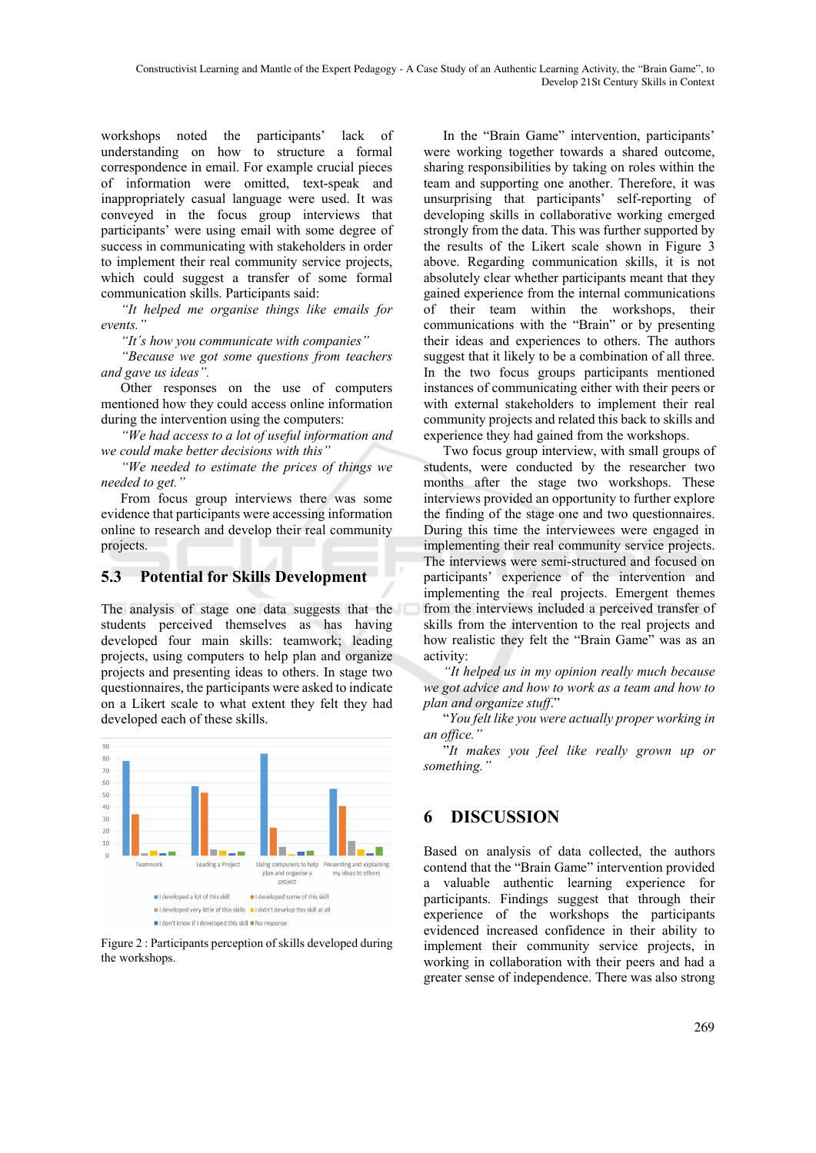workshops noted the participants' lack of understanding on how to structure a formal correspondence in email. For example crucial pieces of information were omitted, text-speak and inappropriately casual language were used. It was conveyed in the focus group interviews that participants' were using email with some degree of success in communicating with stakeholders in order to implement their real community service projects, which could suggest a transfer of some formal communication skills. Participants said:

*"It helped me organise things like emails for events."* 

*"It´s how you communicate with companies"* 

*"Because we got some questions from teachers and gave us ideas".* 

Other responses on the use of computers mentioned how they could access online information during the intervention using the computers:

*"We had access to a lot of useful information and we could make better decisions with this"* 

*"We needed to estimate the prices of things we needed to get."* 

From focus group interviews there was some evidence that participants were accessing information online to research and develop their real community projects.

### **5.3 Potential for Skills Development**

The analysis of stage one data suggests that the students perceived themselves as has having developed four main skills: teamwork; leading projects, using computers to help plan and organize projects and presenting ideas to others. In stage two questionnaires, the participants were asked to indicate on a Likert scale to what extent they felt they had developed each of these skills.



Figure 2 : Participants perception of skills developed during the workshops.

In the "Brain Game" intervention, participants' were working together towards a shared outcome, sharing responsibilities by taking on roles within the team and supporting one another. Therefore, it was unsurprising that participants' self-reporting of developing skills in collaborative working emerged strongly from the data. This was further supported by the results of the Likert scale shown in Figure 3 above. Regarding communication skills, it is not absolutely clear whether participants meant that they gained experience from the internal communications of their team within the workshops, their communications with the "Brain" or by presenting their ideas and experiences to others. The authors suggest that it likely to be a combination of all three. In the two focus groups participants mentioned instances of communicating either with their peers or with external stakeholders to implement their real community projects and related this back to skills and experience they had gained from the workshops.

Two focus group interview, with small groups of students, were conducted by the researcher two months after the stage two workshops. These interviews provided an opportunity to further explore the finding of the stage one and two questionnaires. During this time the interviewees were engaged in implementing their real community service projects. The interviews were semi-structured and focused on participants' experience of the intervention and implementing the real projects. Emergent themes from the interviews included a perceived transfer of skills from the intervention to the real projects and how realistic they felt the "Brain Game" was as an activity:

*"It helped us in my opinion really much because we got advice and how to work as a team and how to plan and organize stuff*."

"*You felt like you were actually proper working in an office."*

"*It makes you feel like really grown up or something."* 

## **6 DISCUSSION**

Based on analysis of data collected, the authors contend that the "Brain Game" intervention provided a valuable authentic learning experience for participants. Findings suggest that through their experience of the workshops the participants evidenced increased confidence in their ability to implement their community service projects, in working in collaboration with their peers and had a greater sense of independence. There was also strong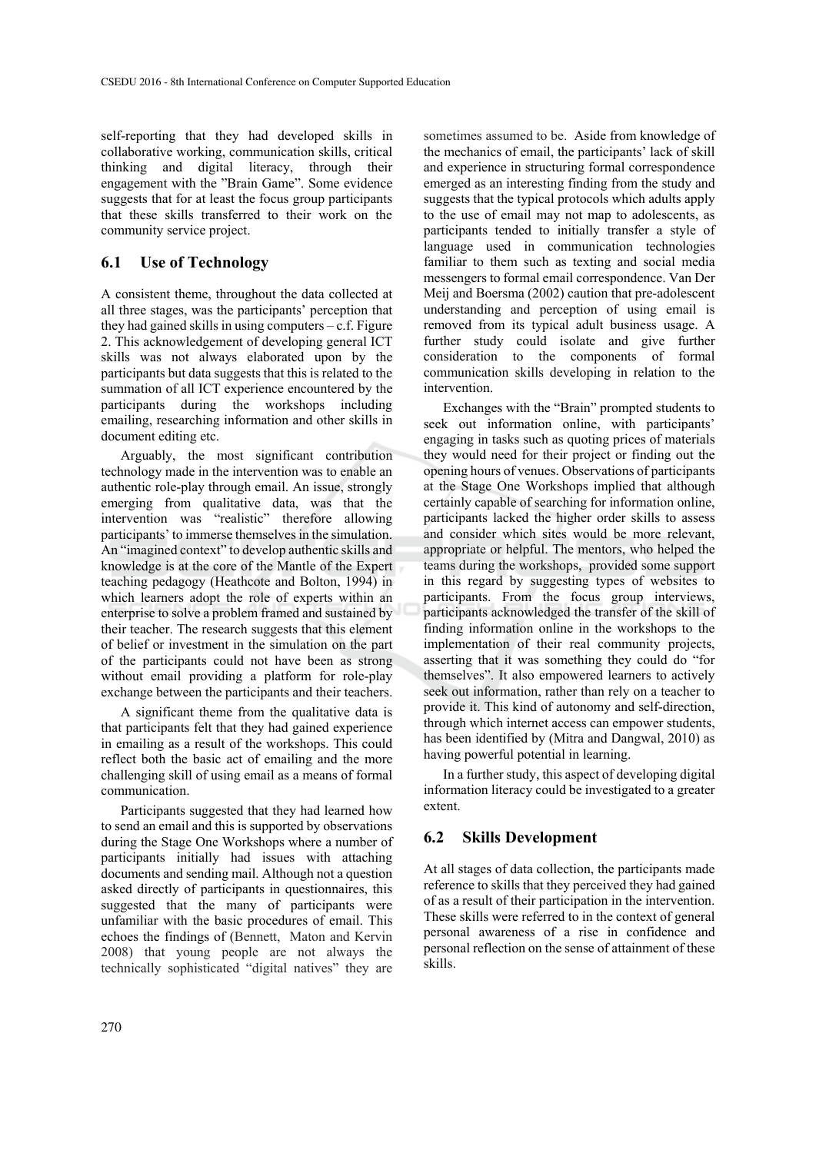self-reporting that they had developed skills in collaborative working, communication skills, critical thinking and digital literacy, through their engagement with the "Brain Game". Some evidence suggests that for at least the focus group participants that these skills transferred to their work on the community service project.

### **6.1 Use of Technology**

A consistent theme, throughout the data collected at all three stages, was the participants' perception that they had gained skills in using computers  $-c.f.$  Figure 2. This acknowledgement of developing general ICT skills was not always elaborated upon by the participants but data suggests that this is related to the summation of all ICT experience encountered by the participants during the workshops including emailing, researching information and other skills in document editing etc.

Arguably, the most significant contribution technology made in the intervention was to enable an authentic role-play through email. An issue, strongly emerging from qualitative data, was that the intervention was "realistic" therefore allowing participants' to immerse themselves in the simulation. An "imagined context" to develop authentic skills and knowledge is at the core of the Mantle of the Expert teaching pedagogy (Heathcote and Bolton, 1994) in which learners adopt the role of experts within an enterprise to solve a problem framed and sustained by their teacher. The research suggests that this element of belief or investment in the simulation on the part of the participants could not have been as strong without email providing a platform for role-play exchange between the participants and their teachers.

A significant theme from the qualitative data is that participants felt that they had gained experience in emailing as a result of the workshops. This could reflect both the basic act of emailing and the more challenging skill of using email as a means of formal communication.

Participants suggested that they had learned how to send an email and this is supported by observations during the Stage One Workshops where a number of participants initially had issues with attaching documents and sending mail. Although not a question asked directly of participants in questionnaires, this suggested that the many of participants were unfamiliar with the basic procedures of email. This echoes the findings of (Bennett, Maton and Kervin 2008) that young people are not always the technically sophisticated "digital natives" they are

sometimes assumed to be. Aside from knowledge of the mechanics of email, the participants' lack of skill and experience in structuring formal correspondence emerged as an interesting finding from the study and suggests that the typical protocols which adults apply to the use of email may not map to adolescents, as participants tended to initially transfer a style of language used in communication technologies familiar to them such as texting and social media messengers to formal email correspondence. Van Der Meij and Boersma (2002) caution that pre-adolescent understanding and perception of using email is removed from its typical adult business usage. A further study could isolate and give further consideration to the components of formal communication skills developing in relation to the intervention.

Exchanges with the "Brain" prompted students to seek out information online, with participants' engaging in tasks such as quoting prices of materials they would need for their project or finding out the opening hours of venues. Observations of participants at the Stage One Workshops implied that although certainly capable of searching for information online, participants lacked the higher order skills to assess and consider which sites would be more relevant, appropriate or helpful. The mentors, who helped the teams during the workshops, provided some support in this regard by suggesting types of websites to participants. From the focus group interviews, participants acknowledged the transfer of the skill of finding information online in the workshops to the implementation of their real community projects, asserting that it was something they could do "for themselves". It also empowered learners to actively seek out information, rather than rely on a teacher to provide it. This kind of autonomy and self-direction, through which internet access can empower students, has been identified by (Mitra and Dangwal, 2010) as having powerful potential in learning.

In a further study, this aspect of developing digital information literacy could be investigated to a greater extent.

#### **6.2 Skills Development**

At all stages of data collection, the participants made reference to skills that they perceived they had gained of as a result of their participation in the intervention. These skills were referred to in the context of general personal awareness of a rise in confidence and personal reflection on the sense of attainment of these skills.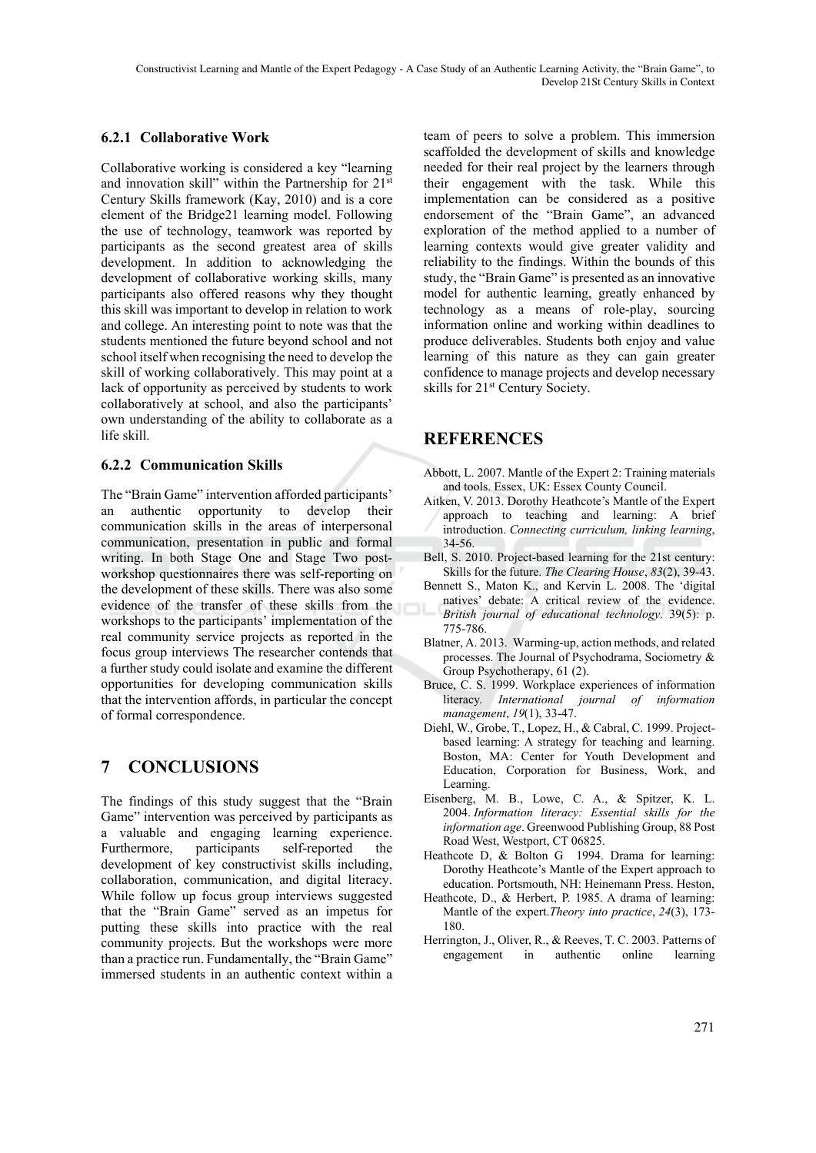### **6.2.1 Collaborative Work**

Collaborative working is considered a key "learning and innovation skill" within the Partnership for 21st Century Skills framework (Kay, 2010) and is a core element of the Bridge21 learning model. Following the use of technology, teamwork was reported by participants as the second greatest area of skills development. In addition to acknowledging the development of collaborative working skills, many participants also offered reasons why they thought this skill was important to develop in relation to work and college. An interesting point to note was that the students mentioned the future beyond school and not school itself when recognising the need to develop the skill of working collaboratively. This may point at a lack of opportunity as perceived by students to work collaboratively at school, and also the participants' own understanding of the ability to collaborate as a life skill.

### **6.2.2 Communication Skills**

The "Brain Game" intervention afforded participants' an authentic opportunity to develop their communication skills in the areas of interpersonal communication, presentation in public and formal writing. In both Stage One and Stage Two postworkshop questionnaires there was self-reporting on the development of these skills. There was also some evidence of the transfer of these skills from the workshops to the participants' implementation of the real community service projects as reported in the focus group interviews The researcher contends that a further study could isolate and examine the different opportunities for developing communication skills that the intervention affords, in particular the concept of formal correspondence.

# **7 CONCLUSIONS**

The findings of this study suggest that the "Brain Game" intervention was perceived by participants as a valuable and engaging learning experience. Furthermore, participants self-reported the development of key constructivist skills including, collaboration, communication, and digital literacy. While follow up focus group interviews suggested that the "Brain Game" served as an impetus for putting these skills into practice with the real community projects. But the workshops were more than a practice run. Fundamentally, the "Brain Game" immersed students in an authentic context within a team of peers to solve a problem. This immersion scaffolded the development of skills and knowledge needed for their real project by the learners through their engagement with the task. While this implementation can be considered as a positive endorsement of the "Brain Game", an advanced exploration of the method applied to a number of learning contexts would give greater validity and reliability to the findings. Within the bounds of this study, the "Brain Game" is presented as an innovative model for authentic learning, greatly enhanced by technology as a means of role-play, sourcing information online and working within deadlines to produce deliverables. Students both enjoy and value learning of this nature as they can gain greater confidence to manage projects and develop necessary skills for 21<sup>st</sup> Century Society.

## **REFERENCES**

- Abbott, L. 2007. Mantle of the Expert 2: Training materials and tools. Essex, UK: Essex County Council.
- Aitken, V. 2013. Dorothy Heathcote's Mantle of the Expert approach to teaching and learning: A brief introduction. *Connecting curriculum, linking learning*, 34-56.
- Bell, S. 2010. Project-based learning for the 21st century: Skills for the future. *The Clearing House*, *83*(2), 39-43.
- Bennett S., Maton K., and Kervin L. 2008. The 'digital natives' debate: A critical review of the evidence. *British journal of educational technology*. 39(5): p. 775-786.
- Blatner, A. 2013. Warming-up, action methods, and related processes. The Journal of Psychodrama, Sociometry & Group Psychotherapy, 61 (2).
- Bruce, C. S. 1999. Workplace experiences of information literacy. *International journal of information management*, *19*(1), 33-47.
- Diehl, W., Grobe, T., Lopez, H., & Cabral, C. 1999. Projectbased learning: A strategy for teaching and learning. Boston, MA: Center for Youth Development and Education, Corporation for Business, Work, and Learning.
- Eisenberg, M. B., Lowe, C. A., & Spitzer, K. L. 2004. *Information literacy: Essential skills for the information age*. Greenwood Publishing Group, 88 Post Road West, Westport, CT 06825.
- Heathcote D, & Bolton G 1994. Drama for learning: Dorothy Heathcote's Mantle of the Expert approach to education. Portsmouth, NH: Heinemann Press. Heston,
- Heathcote, D., & Herbert, P. 1985. A drama of learning: Mantle of the expert.*Theory into practice*, *24*(3), 173- 180.
- Herrington, J., Oliver, R., & Reeves, T. C. 2003. Patterns of engagement in authentic online learning